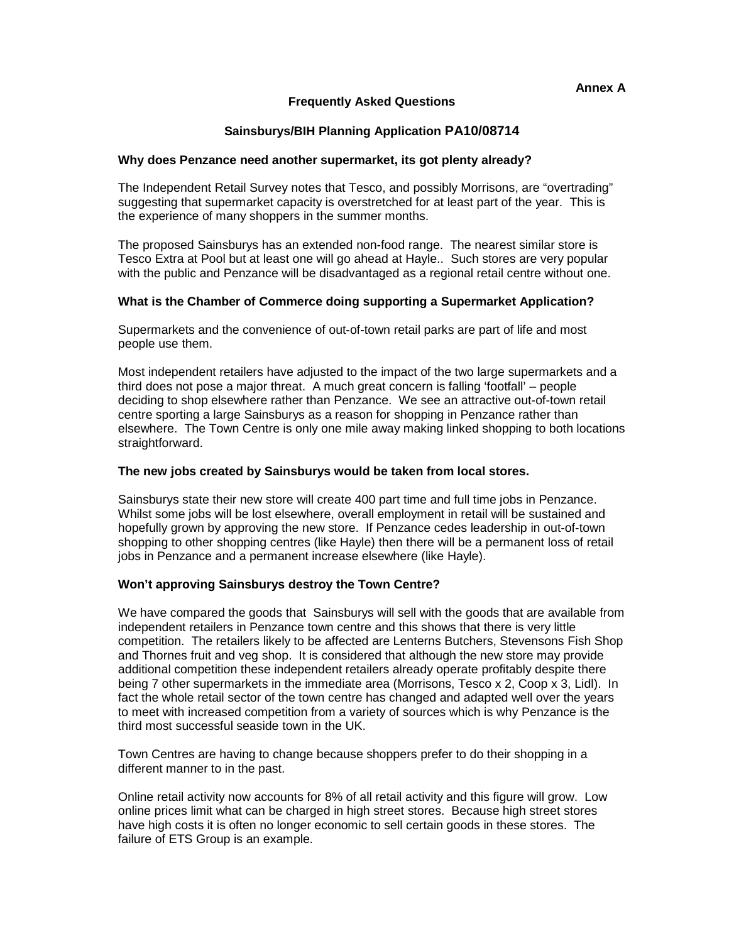# **Frequently Asked Questions**

# **Sainsburys/BIH Planning Application PA10/08714**

#### **Why does Penzance need another supermarket, its got plenty already?**

The Independent Retail Survey notes that Tesco, and possibly Morrisons, are "overtrading" suggesting that supermarket capacity is overstretched for at least part of the year. This is the experience of many shoppers in the summer months.

The proposed Sainsburys has an extended non-food range. The nearest similar store is Tesco Extra at Pool but at least one will go ahead at Hayle.. Such stores are very popular with the public and Penzance will be disadvantaged as a regional retail centre without one.

## **What is the Chamber of Commerce doing supporting a Supermarket Application?**

Supermarkets and the convenience of out-of-town retail parks are part of life and most people use them.

Most independent retailers have adjusted to the impact of the two large supermarkets and a third does not pose a major threat. A much great concern is falling 'footfall' – people deciding to shop elsewhere rather than Penzance. We see an attractive out-of-town retail centre sporting a large Sainsburys as a reason for shopping in Penzance rather than elsewhere. The Town Centre is only one mile away making linked shopping to both locations straightforward.

#### **The new jobs created by Sainsburys would be taken from local stores.**

Sainsburys state their new store will create 400 part time and full time jobs in Penzance. Whilst some jobs will be lost elsewhere, overall employment in retail will be sustained and hopefully grown by approving the new store. If Penzance cedes leadership in out-of-town shopping to other shopping centres (like Hayle) then there will be a permanent loss of retail jobs in Penzance and a permanent increase elsewhere (like Hayle).

# **Won't approving Sainsburys destroy the Town Centre?**

We have compared the goods that Sainsburys will sell with the goods that are available from independent retailers in Penzance town centre and this shows that there is very little competition. The retailers likely to be affected are Lenterns Butchers, Stevensons Fish Shop and Thornes fruit and veg shop. It is considered that although the new store may provide additional competition these independent retailers already operate profitably despite there being 7 other supermarkets in the immediate area (Morrisons, Tesco x 2, Coop x 3, Lidl). In fact the whole retail sector of the town centre has changed and adapted well over the years to meet with increased competition from a variety of sources which is why Penzance is the third most successful seaside town in the UK.

Town Centres are having to change because shoppers prefer to do their shopping in a different manner to in the past.

Online retail activity now accounts for 8% of all retail activity and this figure will grow. Low online prices limit what can be charged in high street stores. Because high street stores have high costs it is often no longer economic to sell certain goods in these stores. The failure of ETS Group is an example.